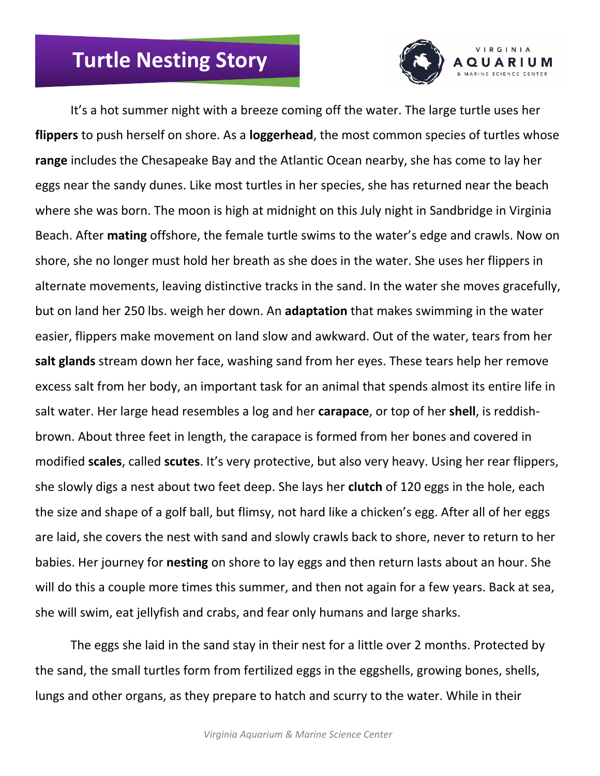## **Turtle Nesting Story**



It's a hot summer night with a breeze coming off the water. The large turtle uses her **flippers** to push herself on shore. As a **loggerhead**, the most common species of turtles whose **range** includes the Chesapeake Bay and the Atlantic Ocean nearby, she has come to lay her eggs near the sandy dunes. Like most turtles in her species, she has returned near the beach where she was born. The moon is high at midnight on this July night in Sandbridge in Virginia Beach. After **mating** offshore, the female turtle swims to the water's edge and crawls. Now on shore, she no longer must hold her breath as she does in the water. She uses her flippers in alternate movements, leaving distinctive tracks in the sand. In the water she moves gracefully, but on land her 250 lbs. weigh her down. An **adaptation** that makes swimming in the water easier, flippers make movement on land slow and awkward. Out of the water, tears from her **salt glands** stream down her face, washing sand from her eyes. These tears help her remove excess salt from her body, an important task for an animal that spends almost its entire life in salt water. Her large head resembles a log and her **carapace**, or top of her **shell**, is reddishbrown. About three feet in length, the carapace is formed from her bones and covered in modified **scales**, called **scutes**. It's very protective, but also very heavy. Using her rear flippers, she slowly digs a nest about two feet deep. She lays her **clutch** of 120 eggs in the hole, each the size and shape of a golf ball, but flimsy, not hard like a chicken's egg. After all of her eggs are laid, she covers the nest with sand and slowly crawls back to shore, never to return to her babies. Her journey for **nesting** on shore to lay eggs and then return lasts about an hour. She will do this a couple more times this summer, and then not again for a few years. Back at sea, she will swim, eat jellyfish and crabs, and fear only humans and large sharks.

The eggs she laid in the sand stay in their nest for a little over 2 months. Protected by the sand, the small turtles form from fertilized eggs in the eggshells, growing bones, shells, lungs and other organs, as they prepare to hatch and scurry to the water. While in their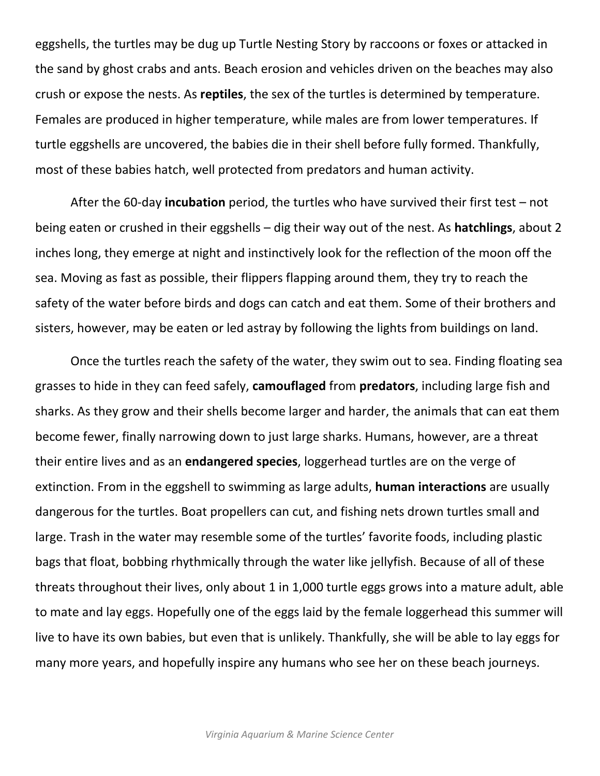eggshells, the turtles may be dug up Turtle Nesting Story by raccoons or foxes or attacked in the sand by ghost crabs and ants. Beach erosion and vehicles driven on the beaches may also crush or expose the nests. As **reptiles**, the sex of the turtles is determined by temperature. Females are produced in higher temperature, while males are from lower temperatures. If turtle eggshells are uncovered, the babies die in their shell before fully formed. Thankfully, most of these babies hatch, well protected from predators and human activity.

After the 60-day **incubation** period, the turtles who have survived their first test – not being eaten or crushed in their eggshells – dig their way out of the nest. As **hatchlings**, about 2 inches long, they emerge at night and instinctively look for the reflection of the moon off the sea. Moving as fast as possible, their flippers flapping around them, they try to reach the safety of the water before birds and dogs can catch and eat them. Some of their brothers and sisters, however, may be eaten or led astray by following the lights from buildings on land.

Once the turtles reach the safety of the water, they swim out to sea. Finding floating sea grasses to hide in they can feed safely, **camouflaged** from **predators**, including large fish and sharks. As they grow and their shells become larger and harder, the animals that can eat them become fewer, finally narrowing down to just large sharks. Humans, however, are a threat their entire lives and as an **endangered species**, loggerhead turtles are on the verge of extinction. From in the eggshell to swimming as large adults, **human interactions** are usually dangerous for the turtles. Boat propellers can cut, and fishing nets drown turtles small and large. Trash in the water may resemble some of the turtles' favorite foods, including plastic bags that float, bobbing rhythmically through the water like jellyfish. Because of all of these threats throughout their lives, only about 1 in 1,000 turtle eggs grows into a mature adult, able to mate and lay eggs. Hopefully one of the eggs laid by the female loggerhead this summer will live to have its own babies, but even that is unlikely. Thankfully, she will be able to lay eggs for many more years, and hopefully inspire any humans who see her on these beach journeys.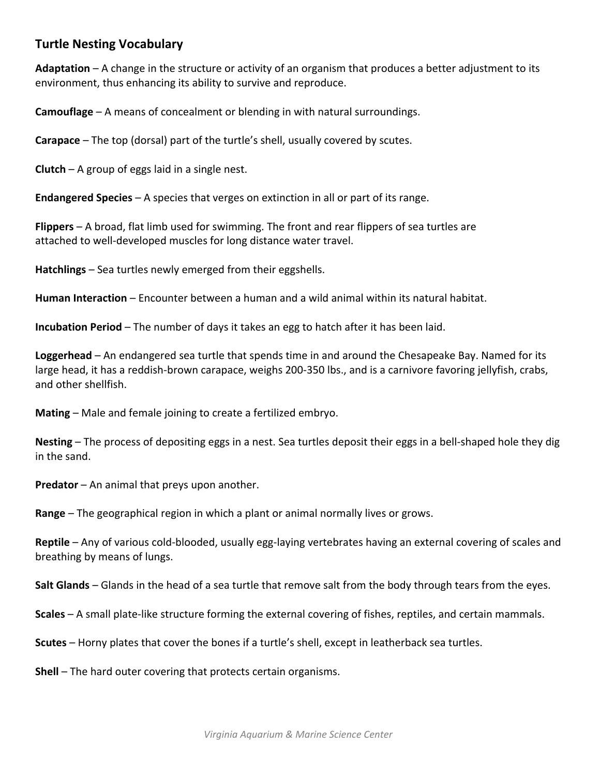## **Turtle Nesting Vocabulary**

**Adaptation** – A change in the structure or activity of an organism that produces a better adjustment to its environment, thus enhancing its ability to survive and reproduce.

**Camouflage** – A means of concealment or blending in with natural surroundings.

**Carapace** – The top (dorsal) part of the turtle's shell, usually covered by scutes.

**Clutch** – A group of eggs laid in a single nest.

**Endangered Species** – A species that verges on extinction in all or part of its range.

**Flippers** – A broad, flat limb used for swimming. The front and rear flippers of sea turtles are attached to well-developed muscles for long distance water travel.

**Hatchlings** – Sea turtles newly emerged from their eggshells.

**Human Interaction** – Encounter between a human and a wild animal within its natural habitat.

**Incubation Period** – The number of days it takes an egg to hatch after it has been laid.

**Loggerhead** – An endangered sea turtle that spends time in and around the Chesapeake Bay. Named for its large head, it has a reddish-brown carapace, weighs 200-350 lbs., and is a carnivore favoring jellyfish, crabs, and other shellfish.

**Mating** – Male and female joining to create a fertilized embryo.

**Nesting** – The process of depositing eggs in a nest. Sea turtles deposit their eggs in a bell-shaped hole they dig in the sand.

**Predator** – An animal that preys upon another.

**Range** – The geographical region in which a plant or animal normally lives or grows.

**Reptile** – Any of various cold-blooded, usually egg-laying vertebrates having an external covering of scales and breathing by means of lungs.

**Salt Glands** – Glands in the head of a sea turtle that remove salt from the body through tears from the eyes.

**Scales** – A small plate-like structure forming the external covering of fishes, reptiles, and certain mammals.

**Scutes** – Horny plates that cover the bones if a turtle's shell, except in leatherback sea turtles.

**Shell** – The hard outer covering that protects certain organisms.